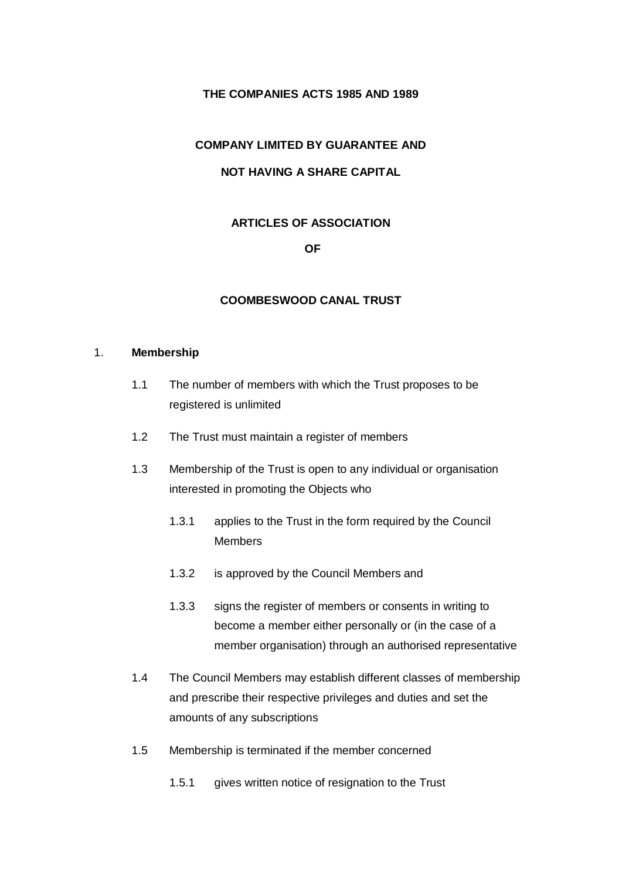#### **THE COMPANIES ACTS 1985 AND 1989**

# **COMPANY LIMITED BY GUARANTEE AND**

# **NOT HAVING A SHARE CAPITAL**

# **ARTICLES OF ASSOCIATION**

#### **OF**

#### **COOMBESWOOD CANAL TRUST**

#### 1. **Membership**

- 1.1 The number of members with which the Trust proposes to be registered is unlimited
- 1.2 The Trust must maintain a register of members
- 1.3 Membership of the Trust is open to any individual or organisation interested in promoting the Objects who
	- 1.3.1 applies to the Trust in the form required by the Council Members
	- 1.3.2 is approved by the Council Members and
	- 1.3.3 signs the register of members or consents in writing to become a member either personally or (in the case of a member organisation) through an authorised representative
- 1.4 The Council Members may establish different classes of membership and prescribe their respective privileges and duties and set the amounts of any subscriptions
- 1.5 Membership is terminated if the member concerned
	- 1.5.1 gives written notice of resignation to the Trust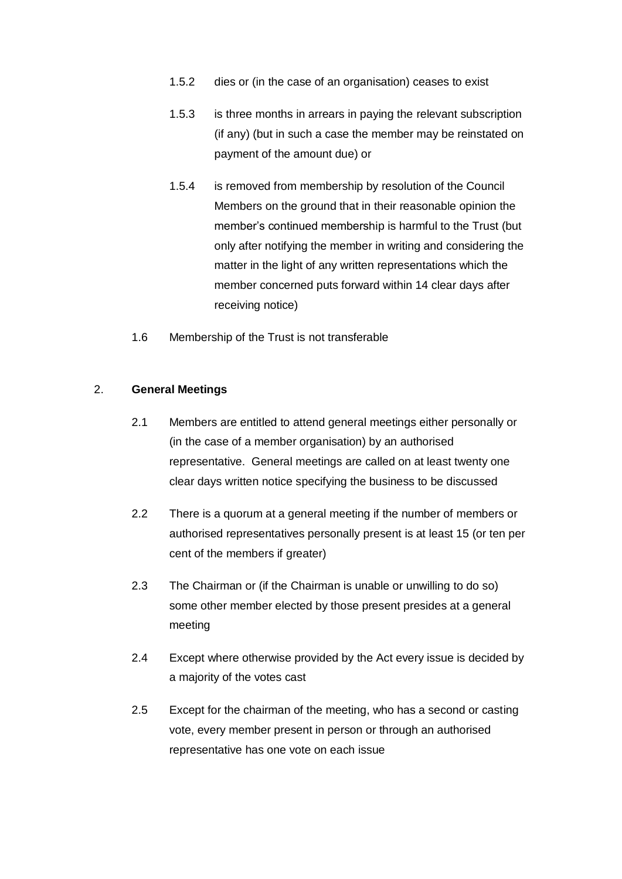- 1.5.2 dies or (in the case of an organisation) ceases to exist
- 1.5.3 is three months in arrears in paying the relevant subscription (if any) (but in such a case the member may be reinstated on payment of the amount due) or
- 1.5.4 is removed from membership by resolution of the Council Members on the ground that in their reasonable opinion the member's continued membership is harmful to the Trust (but only after notifying the member in writing and considering the matter in the light of any written representations which the member concerned puts forward within 14 clear days after receiving notice)
- 1.6 Membership of the Trust is not transferable

#### 2. **General Meetings**

- 2.1 Members are entitled to attend general meetings either personally or (in the case of a member organisation) by an authorised representative. General meetings are called on at least twenty one clear days written notice specifying the business to be discussed
- 2.2 There is a quorum at a general meeting if the number of members or authorised representatives personally present is at least 15 (or ten per cent of the members if greater)
- 2.3 The Chairman or (if the Chairman is unable or unwilling to do so) some other member elected by those present presides at a general meeting
- 2.4 Except where otherwise provided by the Act every issue is decided by a majority of the votes cast
- 2.5 Except for the chairman of the meeting, who has a second or casting vote, every member present in person or through an authorised representative has one vote on each issue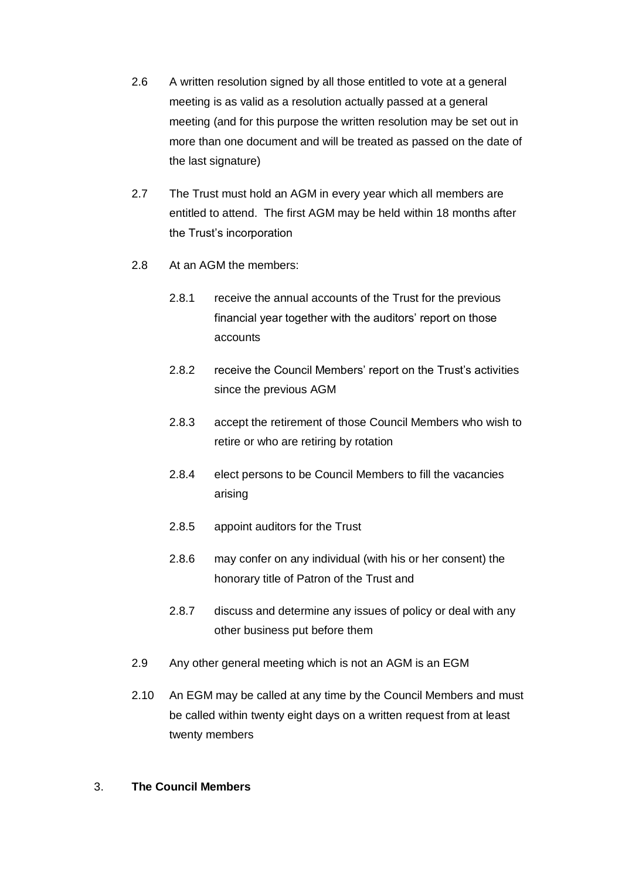- 2.6 A written resolution signed by all those entitled to vote at a general meeting is as valid as a resolution actually passed at a general meeting (and for this purpose the written resolution may be set out in more than one document and will be treated as passed on the date of the last signature)
- 2.7 The Trust must hold an AGM in every year which all members are entitled to attend. The first AGM may be held within 18 months after the Trust's incorporation
- 2.8 At an AGM the members:
	- 2.8.1 receive the annual accounts of the Trust for the previous financial year together with the auditors' report on those accounts
	- 2.8.2 receive the Council Members' report on the Trust's activities since the previous AGM
	- 2.8.3 accept the retirement of those Council Members who wish to retire or who are retiring by rotation
	- 2.8.4 elect persons to be Council Members to fill the vacancies arising
	- 2.8.5 appoint auditors for the Trust
	- 2.8.6 may confer on any individual (with his or her consent) the honorary title of Patron of the Trust and
	- 2.8.7 discuss and determine any issues of policy or deal with any other business put before them
- 2.9 Any other general meeting which is not an AGM is an EGM
- 2.10 An EGM may be called at any time by the Council Members and must be called within twenty eight days on a written request from at least twenty members

# 3. **The Council Members**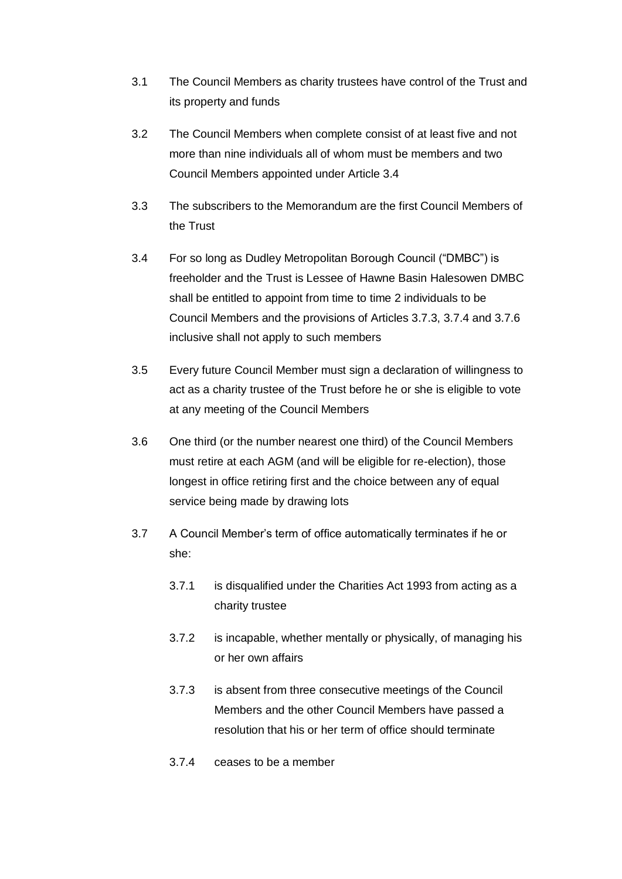- 3.1 The Council Members as charity trustees have control of the Trust and its property and funds
- 3.2 The Council Members when complete consist of at least five and not more than nine individuals all of whom must be members and two Council Members appointed under Article 3.4
- 3.3 The subscribers to the Memorandum are the first Council Members of the Trust
- 3.4 For so long as Dudley Metropolitan Borough Council ("DMBC") is freeholder and the Trust is Lessee of Hawne Basin Halesowen DMBC shall be entitled to appoint from time to time 2 individuals to be Council Members and the provisions of Articles 3.7.3, 3.7.4 and 3.7.6 inclusive shall not apply to such members
- 3.5 Every future Council Member must sign a declaration of willingness to act as a charity trustee of the Trust before he or she is eligible to vote at any meeting of the Council Members
- 3.6 One third (or the number nearest one third) of the Council Members must retire at each AGM (and will be eligible for re-election), those longest in office retiring first and the choice between any of equal service being made by drawing lots
- 3.7 A Council Member's term of office automatically terminates if he or she:
	- 3.7.1 is disqualified under the Charities Act 1993 from acting as a charity trustee
	- 3.7.2 is incapable, whether mentally or physically, of managing his or her own affairs
	- 3.7.3 is absent from three consecutive meetings of the Council Members and the other Council Members have passed a resolution that his or her term of office should terminate
	- 3.7.4 ceases to be a member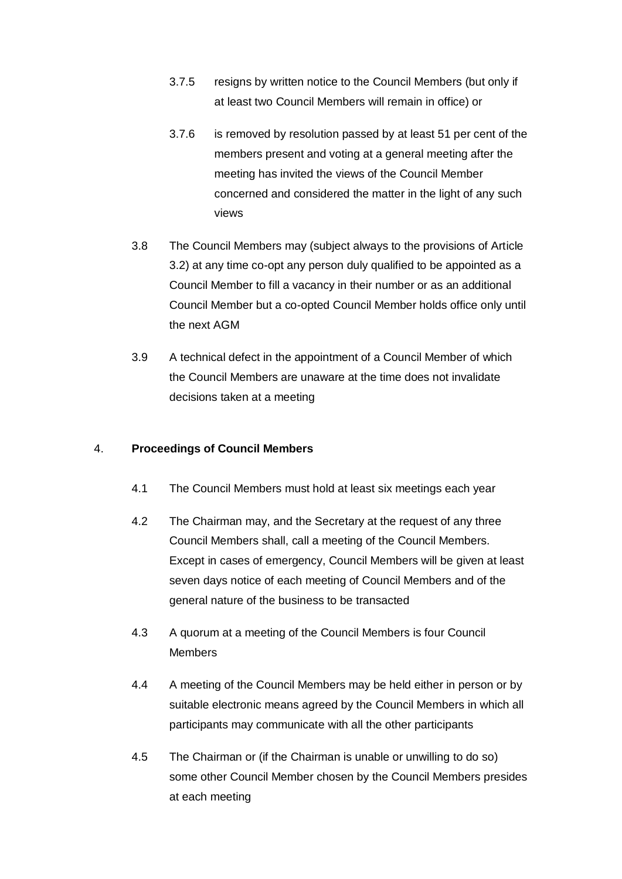- 3.7.5 resigns by written notice to the Council Members (but only if at least two Council Members will remain in office) or
- 3.7.6 is removed by resolution passed by at least 51 per cent of the members present and voting at a general meeting after the meeting has invited the views of the Council Member concerned and considered the matter in the light of any such views
- 3.8 The Council Members may (subject always to the provisions of Article 3.2) at any time co-opt any person duly qualified to be appointed as a Council Member to fill a vacancy in their number or as an additional Council Member but a co-opted Council Member holds office only until the next AGM
- 3.9 A technical defect in the appointment of a Council Member of which the Council Members are unaware at the time does not invalidate decisions taken at a meeting

#### 4. **Proceedings of Council Members**

- 4.1 The Council Members must hold at least six meetings each year
- 4.2 The Chairman may, and the Secretary at the request of any three Council Members shall, call a meeting of the Council Members. Except in cases of emergency, Council Members will be given at least seven days notice of each meeting of Council Members and of the general nature of the business to be transacted
- 4.3 A quorum at a meeting of the Council Members is four Council **Members**
- 4.4 A meeting of the Council Members may be held either in person or by suitable electronic means agreed by the Council Members in which all participants may communicate with all the other participants
- 4.5 The Chairman or (if the Chairman is unable or unwilling to do so) some other Council Member chosen by the Council Members presides at each meeting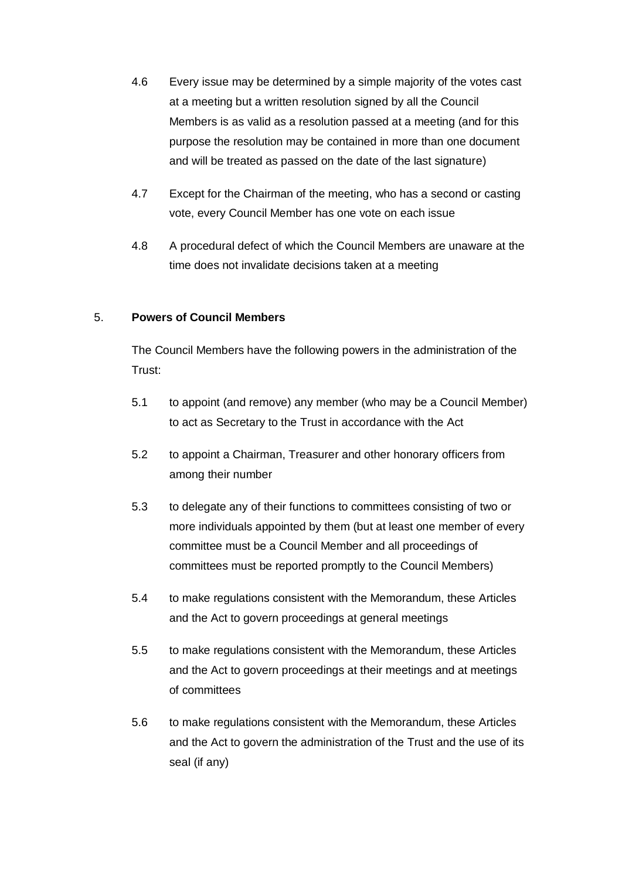- 4.6 Every issue may be determined by a simple majority of the votes cast at a meeting but a written resolution signed by all the Council Members is as valid as a resolution passed at a meeting (and for this purpose the resolution may be contained in more than one document and will be treated as passed on the date of the last signature)
- 4.7 Except for the Chairman of the meeting, who has a second or casting vote, every Council Member has one vote on each issue
- 4.8 A procedural defect of which the Council Members are unaware at the time does not invalidate decisions taken at a meeting

# 5. **Powers of Council Members**

The Council Members have the following powers in the administration of the Trust:

- 5.1 to appoint (and remove) any member (who may be a Council Member) to act as Secretary to the Trust in accordance with the Act
- 5.2 to appoint a Chairman, Treasurer and other honorary officers from among their number
- 5.3 to delegate any of their functions to committees consisting of two or more individuals appointed by them (but at least one member of every committee must be a Council Member and all proceedings of committees must be reported promptly to the Council Members)
- 5.4 to make regulations consistent with the Memorandum, these Articles and the Act to govern proceedings at general meetings
- 5.5 to make regulations consistent with the Memorandum, these Articles and the Act to govern proceedings at their meetings and at meetings of committees
- 5.6 to make regulations consistent with the Memorandum, these Articles and the Act to govern the administration of the Trust and the use of its seal (if any)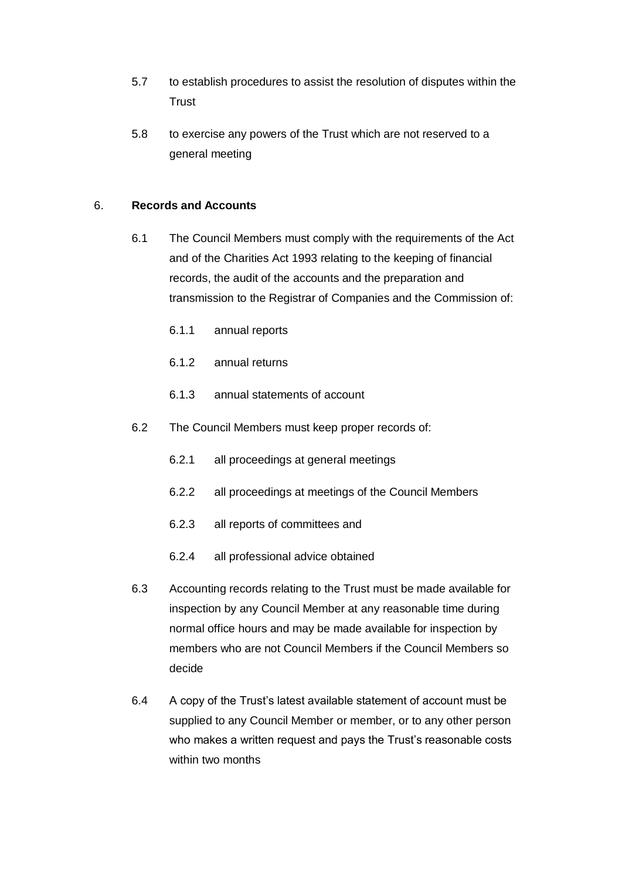- 5.7 to establish procedures to assist the resolution of disputes within the **Trust**
- 5.8 to exercise any powers of the Trust which are not reserved to a general meeting

# 6. **Records and Accounts**

- 6.1 The Council Members must comply with the requirements of the Act and of the Charities Act 1993 relating to the keeping of financial records, the audit of the accounts and the preparation and transmission to the Registrar of Companies and the Commission of:
	- 6.1.1 annual reports
	- 6.1.2 annual returns
	- 6.1.3 annual statements of account
- 6.2 The Council Members must keep proper records of:
	- 6.2.1 all proceedings at general meetings
	- 6.2.2 all proceedings at meetings of the Council Members
	- 6.2.3 all reports of committees and
	- 6.2.4 all professional advice obtained
- 6.3 Accounting records relating to the Trust must be made available for inspection by any Council Member at any reasonable time during normal office hours and may be made available for inspection by members who are not Council Members if the Council Members so decide
- 6.4 A copy of the Trust's latest available statement of account must be supplied to any Council Member or member, or to any other person who makes a written request and pays the Trust's reasonable costs within two months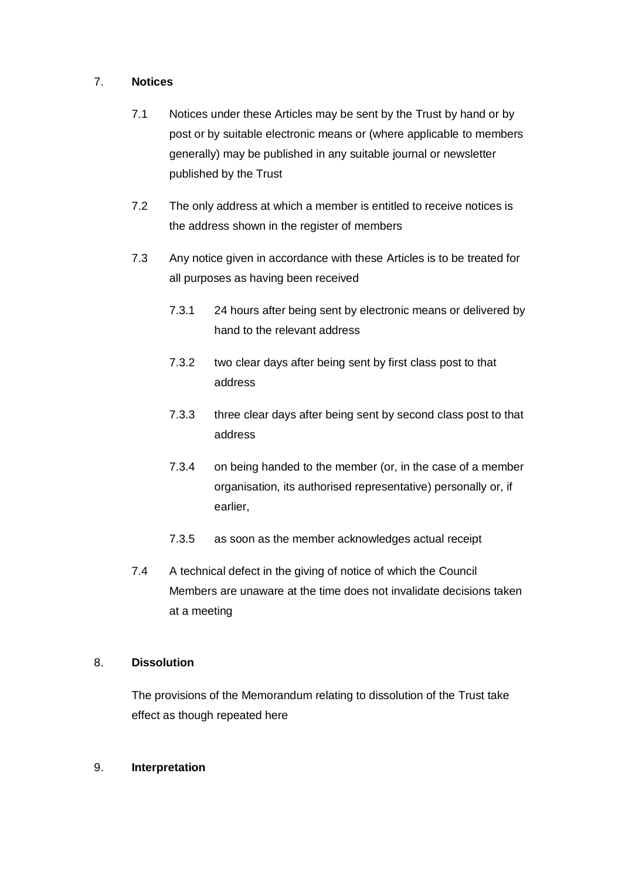#### 7. **Notices**

- 7.1 Notices under these Articles may be sent by the Trust by hand or by post or by suitable electronic means or (where applicable to members generally) may be published in any suitable journal or newsletter published by the Trust
- 7.2 The only address at which a member is entitled to receive notices is the address shown in the register of members
- 7.3 Any notice given in accordance with these Articles is to be treated for all purposes as having been received
	- 7.3.1 24 hours after being sent by electronic means or delivered by hand to the relevant address
	- 7.3.2 two clear days after being sent by first class post to that address
	- 7.3.3 three clear days after being sent by second class post to that address
	- 7.3.4 on being handed to the member (or, in the case of a member organisation, its authorised representative) personally or, if earlier,
	- 7.3.5 as soon as the member acknowledges actual receipt
- 7.4 A technical defect in the giving of notice of which the Council Members are unaware at the time does not invalidate decisions taken at a meeting

# 8. **Dissolution**

The provisions of the Memorandum relating to dissolution of the Trust take effect as though repeated here

9. **Interpretation**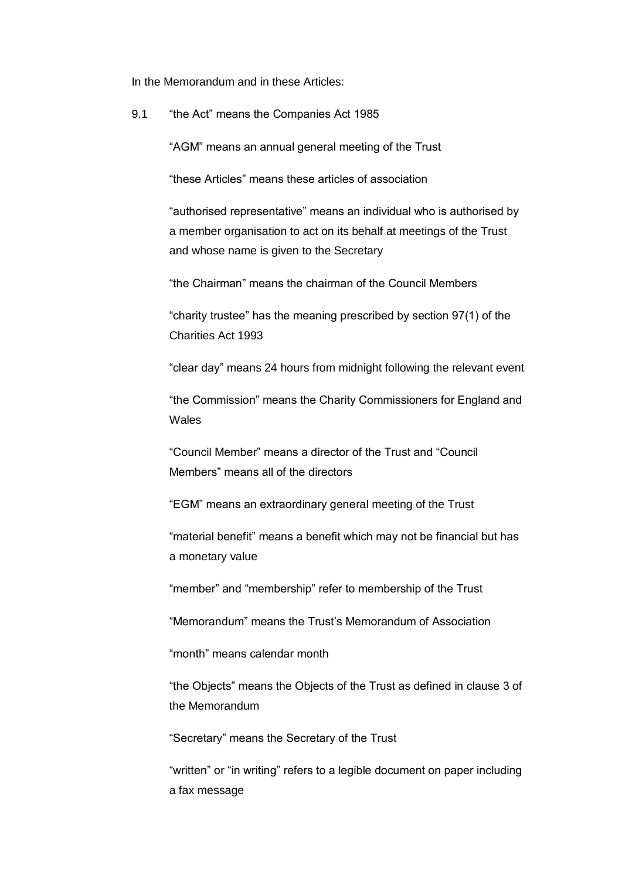In the Memorandum and in these Articles:

9.1 "the Act" means the Companies Act 1985

"AGM" means an annual general meeting of the Trust

"these Articles" means these articles of association

"authorised representative" means an individual who is authorised by a member organisation to act on its behalf at meetings of the Trust and whose name is given to the Secretary

"the Chairman" means the chairman of the Council Members

"charity trustee" has the meaning prescribed by section 97(1) of the Charities Act 1993

"clear day" means 24 hours from midnight following the relevant event

"the Commission" means the Charity Commissioners for England and Wales

"Council Member" means a director of the Trust and "Council Members" means all of the directors

"EGM" means an extraordinary general meeting of the Trust

"material benefit" means a benefit which may not be financial but has a monetary value

"member" and "membership" refer to membership of the Trust

"Memorandum" means the Trust's Memorandum of Association

"month" means calendar month

"the Objects" means the Objects of the Trust as defined in clause 3 of the Memorandum

"Secretary" means the Secretary of the Trust

"written" or "in writing" refers to a legible document on paper including a fax message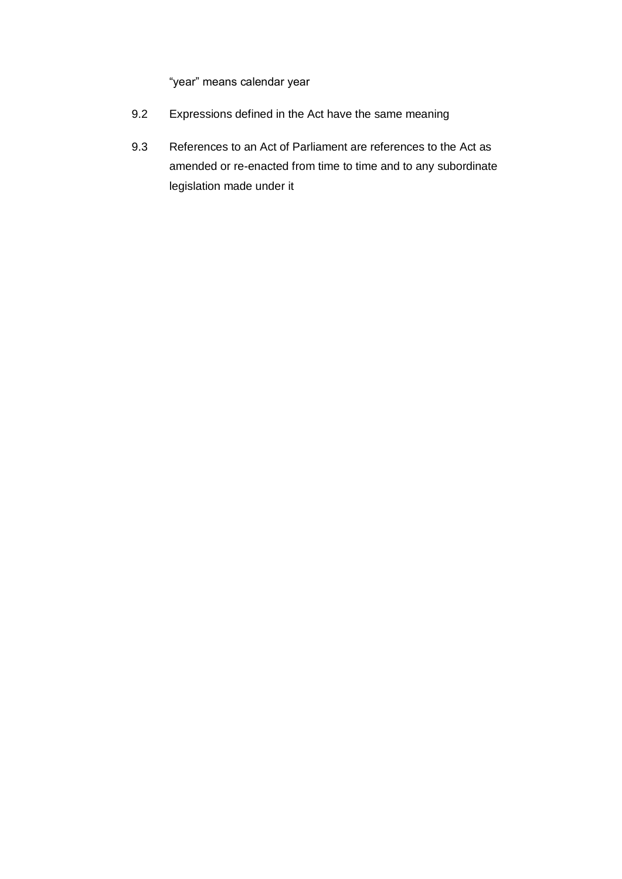"year" means calendar year

- 9.2 Expressions defined in the Act have the same meaning
- 9.3 References to an Act of Parliament are references to the Act as amended or re-enacted from time to time and to any subordinate legislation made under it